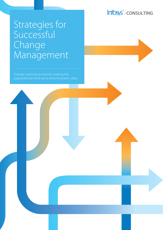# Infosys<sup>®</sup> | CONSULTING

# Strategies for Successful Change Management

Change coaching as a key for creating the organizational mind-set to drive long-term value.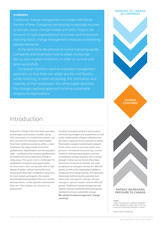### **SUMMARY**

Traditional change management no longer withstands the test of time. Companies are proving increasingly resistant to process classic change models and tools. Projects fail because of rigid organizational structures and employees rejecting classic change management measures or exhibiting passive resistance.

At the same time, the pressure to evolve is growing rapidly. Companies and employees have to adapt increasingly fast to new market conditions in order to survive and grow successfully.

Companies therefore need an expanded management approach so that they can adapt quickly and flexibly creativity of their employees. This white paper describes the change coaching approach to bring sustainable progress to organizations.

#### **BARRIERS TO CHANGE IN COMPANIES**

**CHANGE COACHING**

## Introduction

Permanent change is the new status quo. New technologies and business models, along with new players in established markets, can force out even the strongest market leaders from their traditional positions within a short timeframe. The major trends of our time – globalization, digitalization and demographic shifts – contribute to the constant transformation of markets and are accelerating change in many areas. This gives rise to challenges for established companies and opportunities for newcomers who can operate with a high degree of agility, without having the longstanding ties that their competitors have. Thus, for most market participants, this creates some fundamental questions: How can I survive – and even thrive – in this dynamic environment? How can I best deploy my resources to achieve this?

Creating innovative products and services, restructuring, mergers and acquisitions, as well as the modernization of legacy infrastructures are classic responses to this pressure to evolve. They lead to complex transformation projects which often need to succeed under time pressure. Formalized restructuring, communications and training programs common to traditional change programs are no longer enough. Critical success factors these days tend to be increased motivation and solid acceptance of change(s) among the affected parties, as well as the organization's ability to implement the change quickly. This demands intensively confronting the potential motivations for and against changes among managers, opinion leaders and all affected groups. Traditional change management disciplines must be combined with participatory methods to ensure sustainable change. **We call this broadened approach "change coaching".**

**RAPIDLY INCREASING PRESSURE TO CHANGE**

CHANGE COACHING HELPS COMPANIES OVERCOME INTERNAL BARRIERS TO CHANGE AND TO EFFECTIVE-LY DEAL WITH INCREASING PRESSURE TO CHANGE.

SOURCE: INFOSYS CONSULTING

**FIGURE 1:**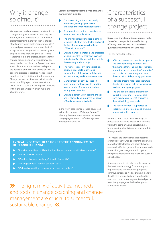# Why is change so difficult?

Management and employees must confront changes to a greater extent. In most organizations, there are traditional, "homemade" problems standing in the way such as the lack of willingness to integrate ("department silos"), outdated processes and procedures, lack of acceptance for change and, to an even greater degree, insufficient willingness to assume a leadership role in the process. This means that change programs soon face resistance on every level of the hierarchy. Typical reactions when plans are announced are to dispute the necessity of the change or relevance of the concrete project proposals as well as to cast doubt on the feasibility of implementation. Change management measures that simply serve to fulfill project milestones without taking into account the willingness to evolve within the organization often make the situation worse.

**Common problems with this type of change management include:**

- The overarching vision is not clearly formulated, so employees do not understand the motivation for change.
- A communicated vision is perceived as inconsistent or implausible.
- The affected (groups of) people cannot recognize why they are affected and what the transformation means for them ( "What's in it for me?").
- Change management tools and processes are implemented for their own sake and not adapted flexibly to conditions within the company and the project
- The fear of loss of any kind (prestige, position, prospects) outweighs expectations of the achievable benefits for the company and for its development.
- Management doesn't succeed in motivating employees or to function as role models for a demonstrable willingness to evolve.
- Change is part of a very specific project and is planned and budgeted for as part of fixed measurement criteria.

In the worst-case scenario, these issues lead to the phenomenon of **"change fatigue"**<sup>1</sup> , whereby the mere announcement of a new change project prompts reflexive rejection among those affected.

# Characteristics of a successful change project

**Successful transformation programs make "sense" of changes for those affected by offering them answers to these basic questions: Why? Why now? Why me?** 

This can mean, for instance:

- Affected parties and people recognize and accept the opportunities that the change offers. The results of the transformation are recognized as "normative" and crucial, and are integrated into the execution of day-to-day processes.
- The willingness to help shape the future n structure increases – both on management level and among employees.
- The change process is explained in plausible terms and is implemented consistently (end-to-end); changes in the methodology are avoided.
- The transformation is supported by coordinated information and training programs (multi-channel).

It is not so much about administrating the processes as assuming a leadership role in it within the company, and establishing a broad coalition for its implementation within the organization.

This means the change manager becomes a "change coach". Change coaching deals with motivational factors for and against change among all affected groups. It combines traditional change management disciplines with participatory methods to achieve sustainable change.<sup>2</sup>

A manager must not only be able to master the basic methodology for creating and implementing development programs, communications as well as training plans for the affected groups, but must also function as a coach who encourages affected parties to actively engage with the change and

### **TYPICAL (NEGATIVE) REACTIONS TO THE ANNOUNCEMENT OF PLANNED CHANGES**

- "It's an important issue, but I don't believe that we can implement it at our company."
- Ď "Not another new project!"
- "Why does that need to change? It works fine as it is."  $\rightarrow$
- "The project doesn't address our needs at all."  $\rightarrow$
- "We have bigger things to worry about than this project."P

 $\blacktriangleright$  The right mix of activities, methods  $\mathsf{Ric}$  its implementation. and tools in change coaching and change management are crucial to successful, sustainable change. «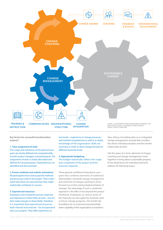

**Key factors for successful transformation projects**<sup>3</sup> **:**

#### **1. Clear assignment of tasks**

The scope and substance of the planned program are clearly defined and comprehensible to both project managers and participants. The assignment of tasks is clearly described and defined for all participants. Dependencies are identified and documented.

### **2. Proven methods and realistic estimations**

All participants know and accept the methods and processes used in the project. They understand why these are used and how they might realistically contribute to success.

#### **3. Experienced resources**

Employees and companies possess expertise and experience in their fields of work – but seldom make changes in these fields. Therefore, it is important that experienced resources – both internal and external – be incorporated into such projects. They offer experience on

two levels – experience in change processes and method competencies as well as in-depth knowledge of the organization. Both are necessary in order to drive change forward on different hierarchy levels.

#### **4. Appropriate budgeting**

The budget realistically reflects the scope and complexity of the project and the resources required.

These general conditions bring about a program that combines elements of traditional (deliverables-oriented) change management and elements of change coaching to drive forward successful, lasting implementation of changes. The advantage of such a combined approach is the effect it has beyond the project timeframe. Employees on various levels of the hierarchy can also apply the methods used in future change programs. This builds the foundation for an improved and potentially faster capability of the organization to transform.

Here, Infosys Consulting relies on an integrated change management concept that considers the client's individual situation and the transformation plan at hand.

Like the gears of a clock, elements of change coaching and change management mesh together to bring about sustainable progress. At the detail level, the individual elements address the following topics: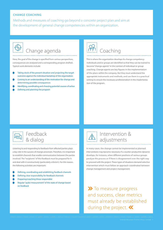### **CHANGE COACHING**

Methods and measures of coaching go beyond a concrete project plan and aim at the development of general change competencies within an organization.



## hange agenda

Here, the goal of the change is specified from various perspectives, consequences are analyzed and a corresponding program drafted. Typical work elements include:

- Taking stock of the present situation and projecting the target outcome against the individual backdrop of the organization
- Coming to an understanding of the motivation for change and determining possible consequences
- Identifying, coordinating and choosing potential courses of action
- Defining and planning the program



This is where the organization develops its change competency. Individuals and/or groups are identified so that they can be trained to become "change agents" in the context of individual or group coaching. Change agents are key figures in the implementation of the plans within the company. But they must understand the appropriate instruments and methods, and use them in a practical setting to ensure the necessary professionalism in the implementation of the program.



### Feedback & dialog

Listening to and responding to feedback from affected parties plays a key role in the success of change processes. Therefore, it is important to establish channels that enable communication between the parties involved. The "recipients" of this feedback must be prepared for it and deal with it constructively (particularly criticism). For this reason, the following activities are important:

- Defining, coordinating and establishing feedback channels
- Defining clear responsibility for feedback channels
- Preparing/coaching those responsible
- Regular "pulse measurement" of the state of change based on feedback



### Intervention & adjustments

In many cases, the change cannot be implemented as planned. Interventions may become necessary if a counter-productive dynamic develops, for instance, when different positions of various groups paralyze the process or if there is disagreement over the right way to proceed with the project. These types of situations demand selective intervention which must follow an approach coordinated between change management and project management.

**X** To measure progress and success, clear metrics must already be established during the project. «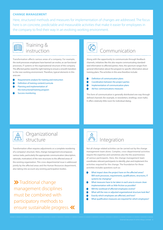### **CHANGE MANAGEMENT**

Here, structured methods and measures for implementation of changes are addressed. The focus here is on concrete, predictable and measurable activities that make it easier for employees in the company to find their way in an evolving working environment.



### Training & instruction

Transformation affects various areas of a company. For example, the work processes employees have learned can evolve, as can functional processes, IT systems or the organizational structure of the company. The affected parties need the right training to ensure a smooth transition to the new working environment. Therefore, typical elements in this area are:

- Requirements analysis for training and instruction
- Definition of training content/curricula
- Planning and implementation of
- the instructional/training program
- Success monitoring

# **Communication**

Along with the opportunity to communicate through feedback channels, initiatives like this also require communicating standardized information to affected parties. Here, the spectrum ranges from general information about the program to specific information about training plans. The activities in this area therefore include:

- Definition of communication plans
- Coordination between the project parties
- Implementation of communication plans
- Ad-hoc communications measures

This form of communication is generally distributed one way through defined channels (for example, in newsletters, briefings, town halls). It offers relatively little room for individual dialog.



### Organizational structure

Transformation often requires adjustments or a complete reordering of a company's structure. Here, change management encompasses various tasks, particularly the appropriate communication (description, rationale, motivation) of the new structures to the affected areas of the existing organization. This cross-departmental issue is addressed jointly by the affected areas and the Human Resources department, also taking into account any existing participation bodies.

**X** Traditional change management disciplines must be combined with participatory methods to ensure sustainable progress.



Not all change-related activities can be carried out by the change management team alone. Complex, cross-departmental activities require the expertise and sometimes also the the assertiveness of various participants. Here, the change management team coordinates relevant participants to identify, plan and implement the activities required for the change. The foundation for these activities includes questions such as:

- What impact does the project have on the affected areas? Will work processes, requirements, qualifications, structures, IT systems be changing?
- What measures have to be taken in each area to ensure clean implementation with as little friction as possible?
- Will the workload of affected employees evolve?
- What will the new or adjusted organizational structure look like?
- Exactly which employees are affected, and how?
- What qualification measures are required for which employees?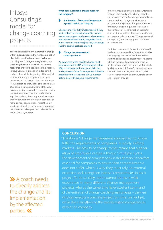# Infosys Consulting's model for change coaching projects

**The key to successful and sustainable change within organizations is the right combination of activities, methods and tools in change coaching and change management, and specifying the extent to which the chosen measures are to be applied.** In this respect, Infosys Consulting relies on a dedicated analysis phase at the beginning of the project to ensure the right scope and the right measures on the basis of client requirements. Here, a profound knowledge of the customer's situation, a clear understanding of the way tasks are assigned as well as experience with the aforementioned methods and tools are key. The analysis phase requires close cooperation between the client and experienced management consultants. This is the only way to identify, plan and implement programs that meet the challenge of sustainable evolution in the client organization.

**What does sustainable change mean for the company?**

### **Stabilization of concrete changes from a project within the company**

Changes must be fully implemented if they are to deliver the expected benefits. In order to measure progress and success, clear metrics must be established during the project itself. But in the course of the project, they also ensure that the desired goals are attained.

#### **Change in awareness and company culture**

An awareness of the need for change must be inscribed in the DNA of the company culture. With current economic and social shift, this is a key success factor for companies. A flexible organization that is open to evolve is better able to deal with dynamic requirements.

Infosys Consulting offers a global Enterprise Change Community, which brings together change coaching staff who support worldwide clients in their change transformation programs. Infosys Consulting examines each project within its unique context. Even if the contents of transformation projects appear similar at first glance (more efficient processes, modernization of IT, organizational change, etc.), the starting point is different for each client.

For this reason, Infosys Consulting works with its clients to create and implement sustainable change programs that reflect the individual starting positions and objectives of its clients while at the same time preparing them for further evolution in the future. With its high quality standards, Infosys Consulting supports clients in the industrial, services and public sectors in implementing both business-driven and IT-driven change.

### **CONCLUSION**

"Traditional" change management approaches no longer fulfill the requirements of companies in rapidly shifting markets. The brevity of change cycles means that a generation of employees can pass through multiple cycles. The development of competencies in this domain is therefore essential for companies to ensure their competitiveness does not suffer, which is why they must rely on external expertise and strengthen internal competencies in each project. To do so, they need external partners with experience in many different change management projects who at the same time have excellent command of the entire set of change coaching instruments – partners who can execute a concrete project on time, on budget, while also strengthening the transformation competencies within the company.

 A coach needs to directly address the change and its implementation by the affected parties.